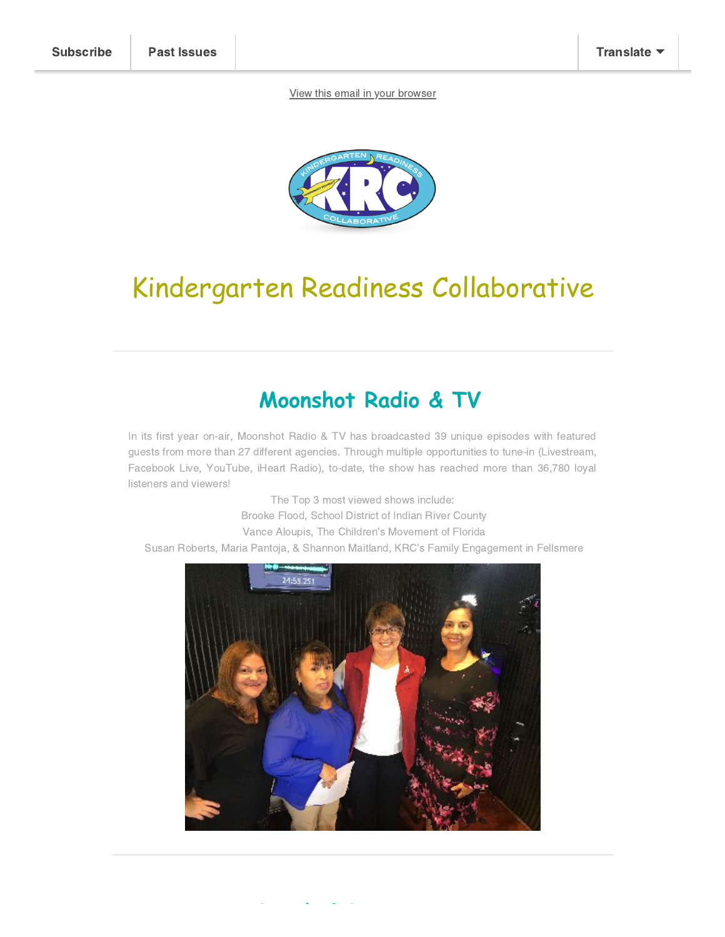[View this email in your browser](https://mailchi.mp/46acbbff6cdc/krc-summer-newsletter?e=df0dfe4d73)



# Kindergarten Readiness Collaborative

### **Moonshot Radio & TV**

In its first year on-air, Moonshot Radio & TV has broadcasted 39 unique episodes with featured guests from more than 27 different agencies. Through multiple opportunities to tune-in (Livestream, Facebook Live, YouTube, iHeart Radio), to-date, the show has reached more than 36,780 loyal listeners and viewers!

The Top 3 most viewed shows include: Brooke Flood, School District of Indian River County Vance Aloupis, The Children's Movement of Florida Susan Roberts, Maria Pantoja, & Shannon Maitland, KRC's Family Engagement in Fellsmere



**L h & L**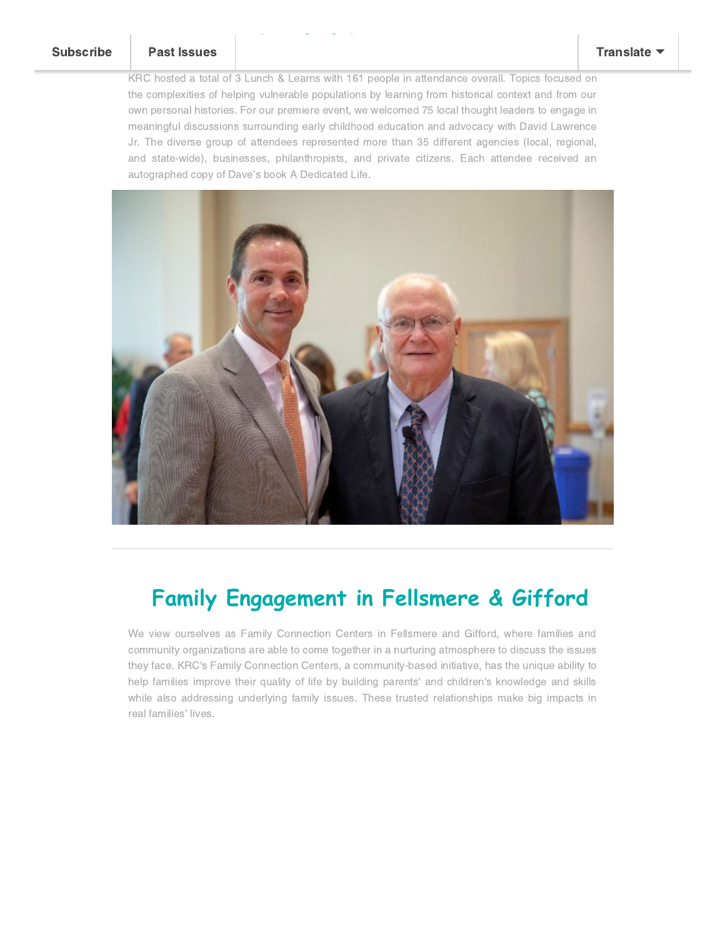### [Subscribe](http://eepurl.com/gw-F0z) [Past Issues](https://us20.campaign-archive.com/home/?u=4a971bf89c4dbac16ff0c1529&id=b70e93cd03) [Translate](javascript:;)

KRC hosted a total of 3 Lunch & Learns with 161 people in attendance overall. Topics focused on the complexities of helping vulnerable populations by learning from historical context and from our own personal histories. For our premiere event, we welcomed 75 local thought leaders to engage in meaningful discussions surrounding early childhood education and advocacy with David Lawrence Jr. The diverse group of attendees represented more than 35 different agencies (local, regional, and state-wide), businesses, philanthropists, and private citizens. Each attendee received an autographed copy of Dave's book A Dedicated Life.

**Lunch & Learn Series**



### **Family Engagement in Fellsmere & Gifford**

We view ourselves as Family Connection Centers in Fellsmere and Gifford, where families and community organizations are able to come together in a nurturing atmosphere to discuss the issues they face. KRC's Family Connection Centers, a community-based initiative, has the unique ability to help families improve their quality of life by building parents' and children's knowledge and skills while also addressing underlying family issues. These trusted relationships make big impacts in real families' lives.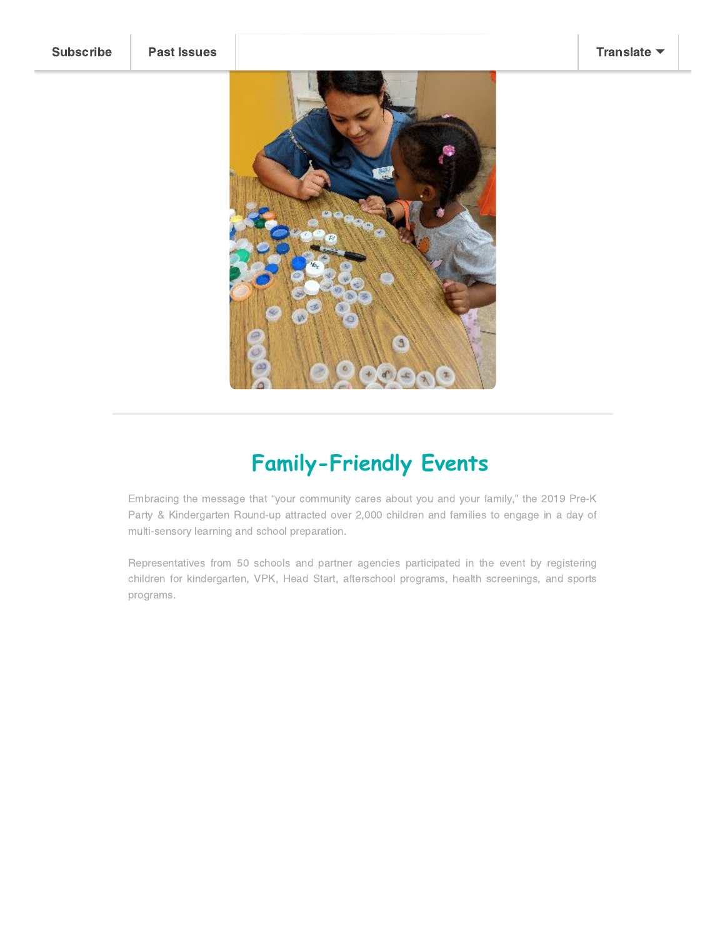

## **Family-Friendly Events**

Embracing the message that "your community cares about you and your family," the 2019 Pre-K Party & Kindergarten Round-up attracted over 2,000 children and families to engage in a day of multi-sensory learning and school preparation.

Representatives from 50 schools and partner agencies participated in the event by registering children for kindergarten, VPK, Head Start, afterschool programs, health screenings, and sports programs.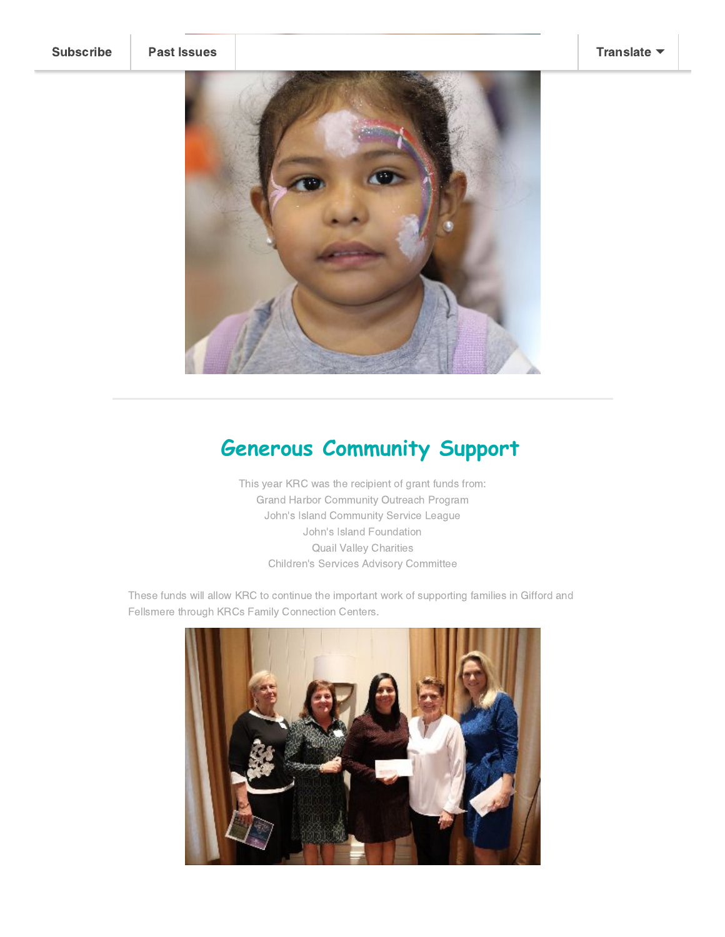

### **Generous Community Support**

This year KRC was the recipient of grant funds from: Grand Harbor Community Outreach Program John's Island Community Service League John's Island Foundation Quail Valley Charities Children's Services Advisory Committee

These funds will allow KRC to continue the important work of supporting families in Gifford and Fellsmere through KRCs Family Connection Centers.